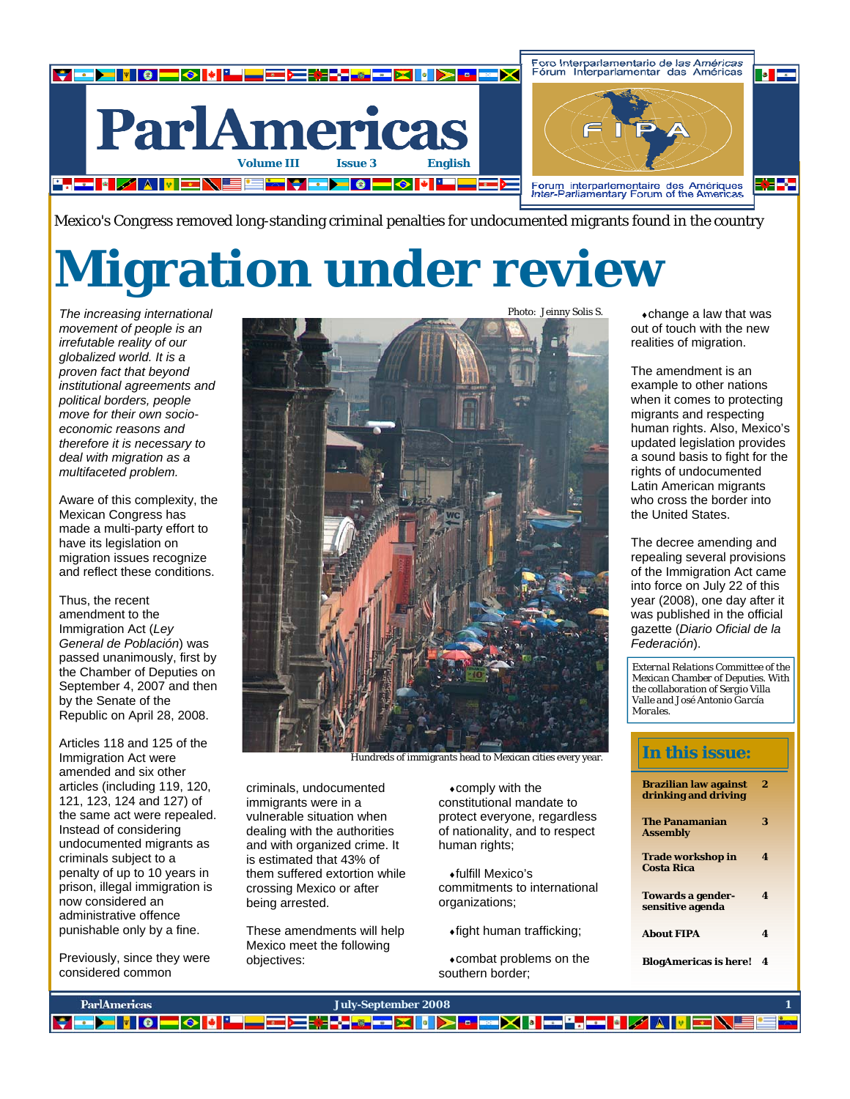

Mexico's Congress removed long-standing criminal penalties for undocumented migrants found in the country

# **Migration under review**

*The increasing international movement of people is an irrefutable reality of our globalized world. It is a proven fact that beyond institutional agreements and political borders, people move for their own socioeconomic reasons and therefore it is necessary to deal with migration as a multifaceted problem.* 

Aware of this complexity, the Mexican Congress has made a multi-party effort to have its legislation on migration issues recognize and reflect these conditions.

Thus, the recent amendment to the Immigration Act (*Ley General de Población*) was passed unanimously, first by the Chamber of Deputies on September 4, 2007 and then by the Senate of the Republic on April 28, 2008.

Articles 118 and 125 of the Immigration Act were amended and six other articles (including 119, 120, 121, 123, 124 and 127) of the same act were repealed. Instead of considering undocumented migrants as criminals subject to a penalty of up to 10 years in prison, illegal immigration is now considered an administrative offence punishable only by a fine.

Previously, since they were considered common



Hundreds of immigrants head to Mexican cities every year.

criminals, undocumented immigrants were in a vulnerable situation when dealing with the authorities and with organized crime. It is estimated that 43% of them suffered extortion while crossing Mexico or after being arrested.

These amendments will help Mexico meet the following objectives:

♦comply with the constitutional mandate to protect everyone, regardless of nationality, and to respect human rights;

♦fulfill Mexico's commitments to international organizations;

♦fight human trafficking;

♦combat problems on the southern border;

 $\bullet$ change a law that was out of touch with the new realities of migration.

The amendment is an example to other nations when it comes to protecting migrants and respecting human rights. Also, Mexico's updated legislation provides a sound basis to fight for the rights of undocumented Latin American migrants who cross the border into the United States.

The decree amending and repealing several provisions of the Immigration Act came into force on July 22 of this year (2008), one day after it was published in the official gazette (*Diario Oficial de la Federación*).

*External Relations Committee of the Mexican Chamber of Deputies. With the collaboration of Sergio Villa Valle and José Antonio García Morales.* 

## **In this issue:**

| Brazilian law against<br>drinking and driving | 2 |
|-----------------------------------------------|---|
| <b>The Panamanian</b><br>Assembly             | 3 |
| Trade workshop in<br>Costa Rica               | 4 |
| Towards a gender-<br>sensitive agenda         | 4 |
| <b>About FIPA</b>                             | 4 |
| <b>BlogAmericas is here!</b>                  | 4 |

| <b>ParlAmericas</b> | July-September 2008                                                    |  |
|---------------------|------------------------------------------------------------------------|--|
|                     | <mark>▌▖▆▛▌▎▎▕▕▗▎▗▎▎▘▀▀▆▎▘▏▞▗▗▖▞▚▎▎</mark> ▗▗▅▛▎▎▛▜▚▅▎▎▗▗▗▗▗▗▗▗▗▗▗▗▗▗▗ |  |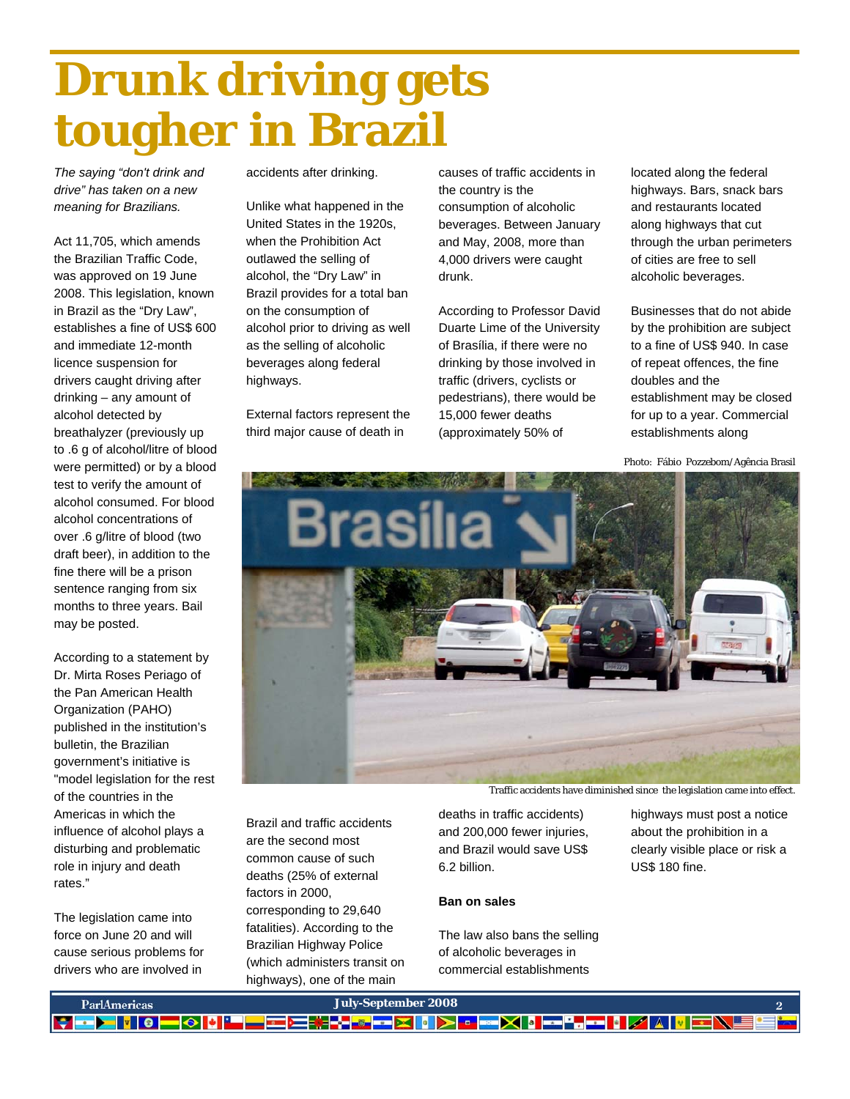# **Drunk driving gets tougher in Brazil**

*The saying "don't drink and drive" has taken on a new meaning for Brazilians.* 

Act 11,705, which amends the Brazilian Traffic Code, was approved on 19 June 2008. This legislation, known in Brazil as the "Dry Law", establishes a fine of US\$ 600 and immediate 12-month licence suspension for drivers caught driving after drinking – any amount of alcohol detected by breathalyzer (previously up to .6 g of alcohol/litre of blood were permitted) or by a blood test to verify the amount of alcohol consumed. For blood alcohol concentrations of over .6 g/litre of blood (two draft beer), in addition to the fine there will be a prison sentence ranging from six months to three years. Bail may be posted.

According to a statement by Dr. Mirta Roses Periago of the Pan American Health Organization (PAHO) published in the institution's bulletin, the Brazilian government's initiative is "model legislation for the rest of the countries in the Americas in which the influence of alcohol plays a disturbing and problematic role in injury and death rates."

The legislation came into force on June 20 and will cause serious problems for drivers who are involved in

accidents after drinking.

Unlike what happened in the United States in the 1920s, when the Prohibition Act outlawed the selling of alcohol, the "Dry Law" in Brazil provides for a total ban on the consumption of alcohol prior to driving as well as the selling of alcoholic beverages along federal highways.

External factors represent the third major cause of death in

causes of traffic accidents in the country is the consumption of alcoholic beverages. Between January and May, 2008, more than 4,000 drivers were caught drunk.

According to Professor David Duarte Lime of the University of Brasília, if there were no drinking by those involved in traffic (drivers, cyclists or pedestrians), there would be 15,000 fewer deaths (approximately 50% of

located along the federal highways. Bars, snack bars and restaurants located along highways that cut through the urban perimeters of cities are free to sell alcoholic beverages.

Businesses that do not abide by the prohibition are subject to a fine of US\$ 940. In case of repeat offences, the fine doubles and the establishment may be closed for up to a year. Commercial establishments along

Photo: Fábio Pozzebom/Agência Brasil



Traffic accidents have diminished since the legislation came into effect.

Brazil and traffic accidents are the second most common cause of such deaths (25% of external factors in 2000, corresponding to 29,640 fatalities). According to the Brazilian Highway Police (which administers transit on highways), one of the main

deaths in traffic accidents) and 200,000 fewer injuries, and Brazil would save US\$ 6.2 billion.

### **Ban on sales**

The law also bans the selling of alcoholic beverages in commercial establishments

highways must post a notice about the prohibition in a clearly visible place or risk a US\$ 180 fine.

| <b>ParlAmericas</b> | July-September 2008 \                            |  |
|---------------------|--------------------------------------------------|--|
|                     | ▎▘▆▛▌▎▎▘▎▅▎▓▎▘▀▀▆░▚▞▜▆▆▓▐▓▎░▏▘▆░▓▌▅▀▄▅▌▓▓▓▓▊▅░▓▊ |  |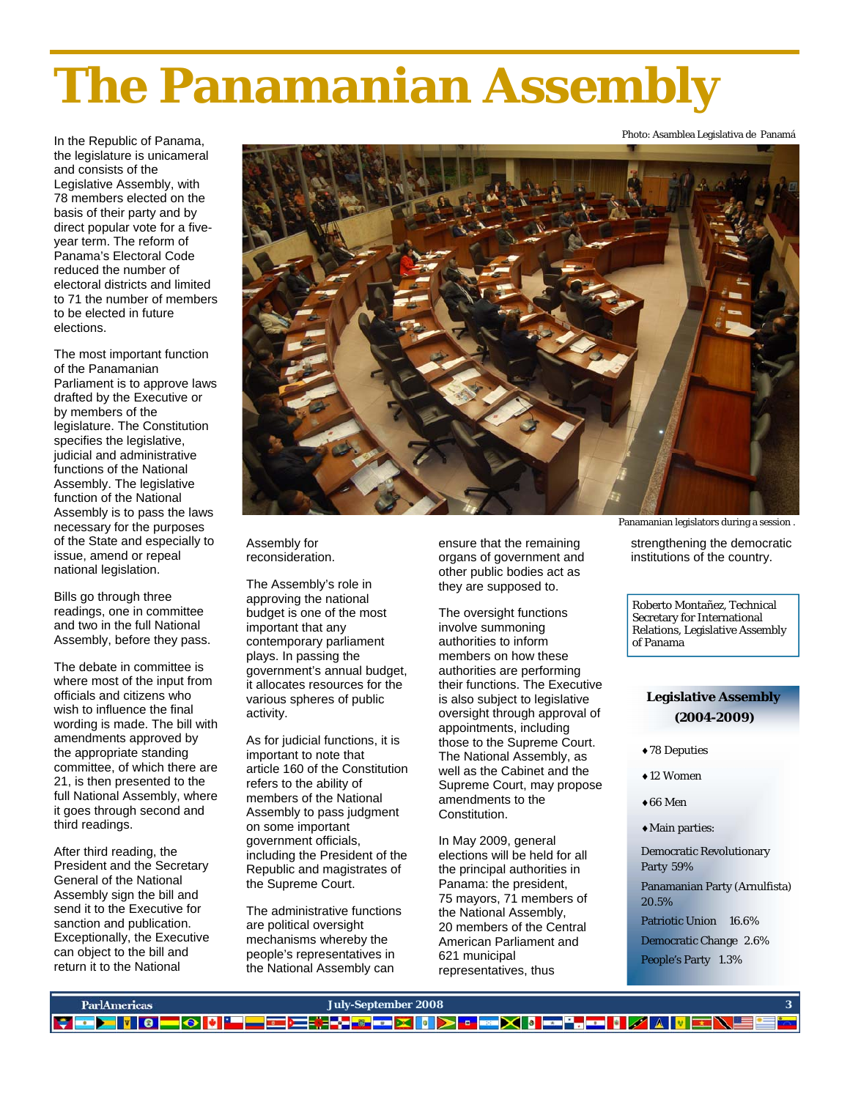# **The Panamanian Assembly**

In the Republic of Panama, the legislature is unicameral and consists of the Legislative Assembly, with 78 members elected on the basis of their party and by direct popular vote for a fiveyear term. The reform of Panama's Electoral Code reduced the number of electoral districts and limited to 71 the number of members to be elected in future elections.

The most important function of the Panamanian Parliament is to approve laws drafted by the Executive or by members of the legislature. The Constitution specifies the legislative, judicial and administrative functions of the National Assembly. The legislative function of the National Assembly is to pass the laws necessary for the purposes of the State and especially to issue, amend or repeal national legislation.

Bills go through three readings, one in committee and two in the full National Assembly, before they pass.

The debate in committee is where most of the input from officials and citizens who wish to influence the final wording is made. The bill with amendments approved by the appropriate standing committee, of which there are 21, is then presented to the full National Assembly, where it goes through second and third readings.

After third reading, the President and the Secretary General of the National Assembly sign the bill and send it to the Executive for sanction and publication. Exceptionally, the Executive can object to the bill and return it to the National



Assembly for reconsideration.

The Assembly's role in approving the national budget is one of the most important that any contemporary parliament plays. In passing the government's annual budget, it allocates resources for the various spheres of public activity.

As for judicial functions, it is important to note that article 160 of the Constitution refers to the ability of members of the National Assembly to pass judgment on some important government officials, including the President of the Republic and magistrates of the Supreme Court.

The administrative functions are political oversight mechanisms whereby the people's representatives in the National Assembly can

ensure that the remaining organs of government and other public bodies act as they are supposed to.

The oversight functions involve summoning authorities to inform members on how these authorities are performing their functions. The Executive is also subject to legislative oversight through approval of appointments, including those to the Supreme Court. The National Assembly, as well as the Cabinet and the Supreme Court, may propose amendments to the Constitution.

In May 2009, general elections will be held for all the principal authorities in Panama: the president, 75 mayors, 71 members of the National Assembly, 20 members of the Central American Parliament and 621 municipal representatives, thus

Panamanian legislators during a session .

strengthening the democratic institutions of the country.

Roberto Montañez, Technical Secretary for International Relations, Legislative Assembly of Panama

## **Legislative Assembly (2004-2009)**

- ♦78 Deputies
- ♦12 Women
- $\triangle$ 66 Men
- ♦Main parties:

Democratic Revolutionary Party 59%

Panamanian Party (Arnulfista) 20.5%

Patriotic Union 16.6%

Democratic Change 2.6% People's Party 1.3%



Photo: Asamblea Legislativa de Panamá